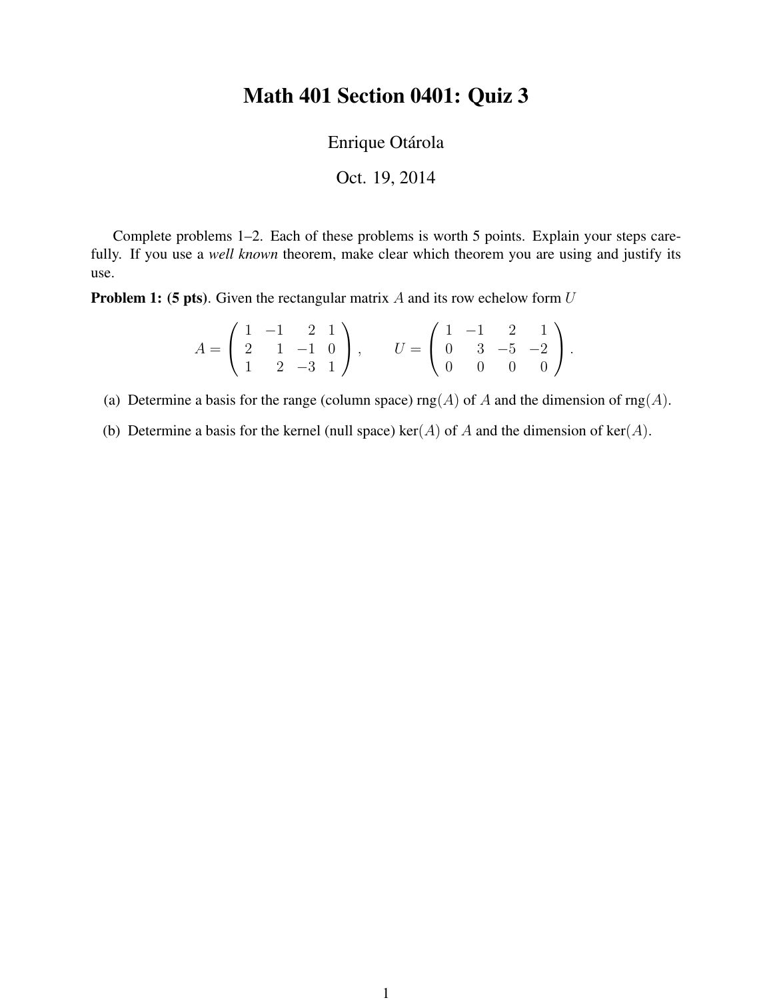## Math 401 Section 0401: Quiz 3

Enrique Otárola

Oct. 19, 2014

Complete problems 1–2. Each of these problems is worth 5 points. Explain your steps carefully. If you use a *well known* theorem, make clear which theorem you are using and justify its use.

**Problem 1: (5 pts).** Given the rectangular matrix A and its row echelow form  $U$ 

$$
A = \begin{pmatrix} 1 & -1 & 2 & 1 \\ 2 & 1 & -1 & 0 \\ 1 & 2 & -3 & 1 \end{pmatrix}, \qquad U = \begin{pmatrix} 1 & -1 & 2 & 1 \\ 0 & 3 & -5 & -2 \\ 0 & 0 & 0 & 0 \end{pmatrix}.
$$

(a) Determine a basis for the range (column space)  $\text{rng}(A)$  of A and the dimension of  $\text{rng}(A)$ .

(b) Determine a basis for the kernel (null space) ker(A) of A and the dimension of ker(A).